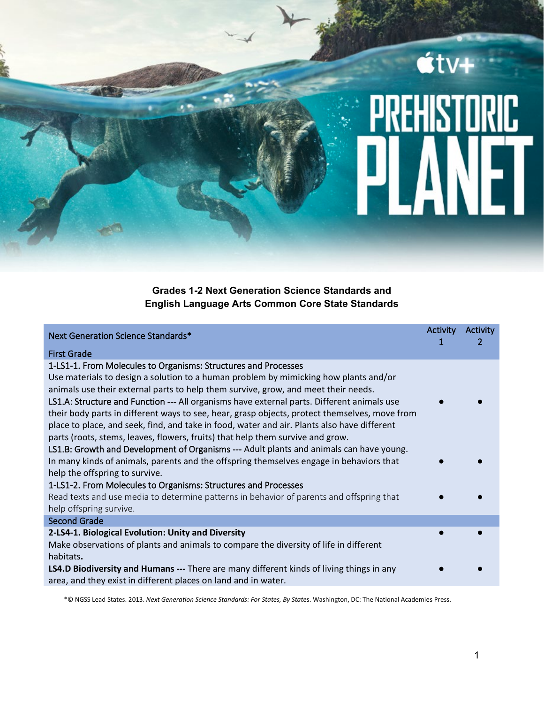## $\acute{\mathbf{t}}$ tv+ <u>REHISTORIC</u> ц

**Grades 1-2 Next Generation Science Standards and English Language Arts Common Core State Standards**

| Next Generation Science Standards*                                                                                                                                                                                                                                                                                                                                                                                                                                                                                                         | <b>Activity</b><br>1 | Activity<br>2 |
|--------------------------------------------------------------------------------------------------------------------------------------------------------------------------------------------------------------------------------------------------------------------------------------------------------------------------------------------------------------------------------------------------------------------------------------------------------------------------------------------------------------------------------------------|----------------------|---------------|
| <b>First Grade</b>                                                                                                                                                                                                                                                                                                                                                                                                                                                                                                                         |                      |               |
| 1-LS1-1. From Molecules to Organisms: Structures and Processes<br>Use materials to design a solution to a human problem by mimicking how plants and/or<br>animals use their external parts to help them survive, grow, and meet their needs.<br>LS1.A: Structure and Function --- All organisms have external parts. Different animals use<br>their body parts in different ways to see, hear, grasp objects, protect themselves, move from<br>place to place, and seek, find, and take in food, water and air. Plants also have different |                      |               |
| parts (roots, stems, leaves, flowers, fruits) that help them survive and grow.<br>LS1.B: Growth and Development of Organisms --- Adult plants and animals can have young.<br>In many kinds of animals, parents and the offspring themselves engage in behaviors that<br>help the offspring to survive.<br>1-LS1-2. From Molecules to Organisms: Structures and Processes<br>Read texts and use media to determine patterns in behavior of parents and offspring that<br>help offspring survive.                                            |                      |               |
| <b>Second Grade</b>                                                                                                                                                                                                                                                                                                                                                                                                                                                                                                                        |                      |               |
| 2-LS4-1. Biological Evolution: Unity and Diversity<br>Make observations of plants and animals to compare the diversity of life in different<br>habitats.                                                                                                                                                                                                                                                                                                                                                                                   |                      |               |
| <b>LS4.D Biodiversity and Humans</b> --- There are many different kinds of living things in any<br>area, and they exist in different places on land and in water.                                                                                                                                                                                                                                                                                                                                                                          |                      |               |

\*© NGSS Lead States. 2013. *Next Generation Science Standards: For States, By State*s. Washington, DC: The National Academies Press.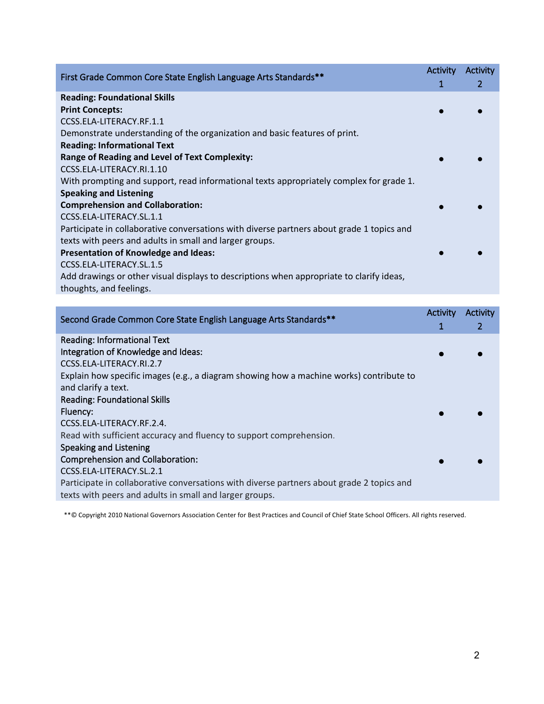| First Grade Common Core State English Language Arts Standards**                           | <b>Activity</b> | Activity |
|-------------------------------------------------------------------------------------------|-----------------|----------|
|                                                                                           | 1               | 2        |
| <b>Reading: Foundational Skills</b>                                                       |                 |          |
| <b>Print Concepts:</b>                                                                    |                 |          |
| CCSS.ELA-LITERACY.RF.1.1                                                                  |                 |          |
| Demonstrate understanding of the organization and basic features of print.                |                 |          |
| <b>Reading: Informational Text</b>                                                        |                 |          |
| <b>Range of Reading and Level of Text Complexity:</b>                                     |                 |          |
| CCSS.ELA-LITERACY.RI.1.10                                                                 |                 |          |
| With prompting and support, read informational texts appropriately complex for grade 1.   |                 |          |
| <b>Speaking and Listening</b>                                                             |                 |          |
| <b>Comprehension and Collaboration:</b>                                                   |                 |          |
| CCSS.ELA-LITERACY.SL.1.1                                                                  |                 |          |
| Participate in collaborative conversations with diverse partners about grade 1 topics and |                 |          |
| texts with peers and adults in small and larger groups.                                   |                 |          |
| <b>Presentation of Knowledge and Ideas:</b>                                               |                 |          |
| CCSS.ELA-LITERACY.SL.1.5                                                                  |                 |          |
| Add drawings or other visual displays to descriptions when appropriate to clarify ideas,  |                 |          |
| thoughts, and feelings.                                                                   |                 |          |

| Second Grade Common Core State English Language Arts Standards**                          | Activity | Activity |
|-------------------------------------------------------------------------------------------|----------|----------|
|                                                                                           |          | 2        |
| <b>Reading: Informational Text</b>                                                        |          |          |
| Integration of Knowledge and Ideas:                                                       |          |          |
| CCSS.ELA-LITERACY.RI.2.7                                                                  |          |          |
| Explain how specific images (e.g., a diagram showing how a machine works) contribute to   |          |          |
| and clarify a text.                                                                       |          |          |
| <b>Reading: Foundational Skills</b>                                                       |          |          |
| Fluency:                                                                                  |          |          |
| CCSS.ELA-LITERACY.RF.2.4.                                                                 |          |          |
| Read with sufficient accuracy and fluency to support comprehension.                       |          |          |
| Speaking and Listening                                                                    |          |          |
| Comprehension and Collaboration:                                                          |          |          |
| CCSS.ELA-LITERACY.SL.2.1                                                                  |          |          |
| Participate in collaborative conversations with diverse partners about grade 2 topics and |          |          |
| texts with peers and adults in small and larger groups.                                   |          |          |
|                                                                                           |          |          |

\*\*© Copyright 2010 National Governors Association Center for Best Practices and Council of Chief State School Officers. All rights reserved.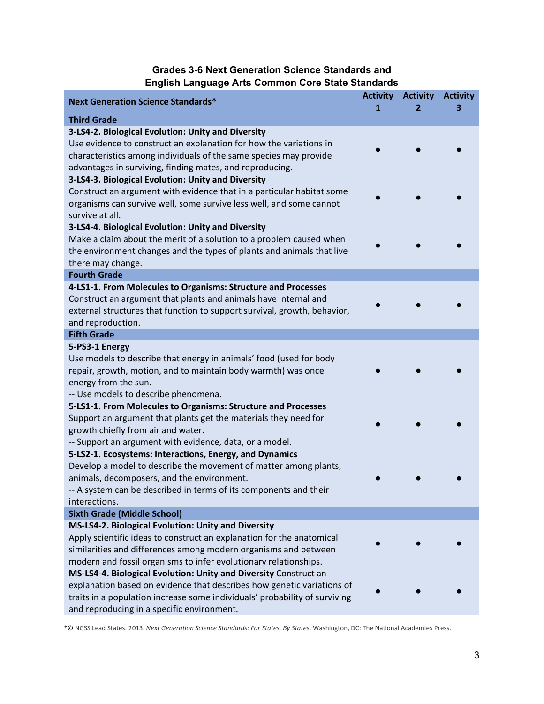## **Grades 3-6 Next Generation Science Standards and English Language Arts Common Core State Standards**

| <b>Next Generation Science Standards*</b>                                                                                                            | <b>Activity</b><br>1 | <b>Activity</b> | <b>Activity</b><br>з |
|------------------------------------------------------------------------------------------------------------------------------------------------------|----------------------|-----------------|----------------------|
| <b>Third Grade</b>                                                                                                                                   |                      |                 |                      |
| 3-LS4-2. Biological Evolution: Unity and Diversity                                                                                                   |                      |                 |                      |
| Use evidence to construct an explanation for how the variations in                                                                                   |                      |                 |                      |
| characteristics among individuals of the same species may provide                                                                                    |                      |                 |                      |
| advantages in surviving, finding mates, and reproducing.                                                                                             |                      |                 |                      |
| 3-LS4-3. Biological Evolution: Unity and Diversity                                                                                                   |                      |                 |                      |
| Construct an argument with evidence that in a particular habitat some                                                                                |                      |                 |                      |
| organisms can survive well, some survive less well, and some cannot                                                                                  |                      |                 |                      |
| survive at all.<br>3-LS4-4. Biological Evolution: Unity and Diversity                                                                                |                      |                 |                      |
| Make a claim about the merit of a solution to a problem caused when                                                                                  |                      |                 |                      |
| the environment changes and the types of plants and animals that live                                                                                |                      |                 |                      |
| there may change.                                                                                                                                    |                      |                 |                      |
| <b>Fourth Grade</b>                                                                                                                                  |                      |                 |                      |
| 4-LS1-1. From Molecules to Organisms: Structure and Processes                                                                                        |                      |                 |                      |
| Construct an argument that plants and animals have internal and                                                                                      |                      |                 |                      |
| external structures that function to support survival, growth, behavior,                                                                             |                      |                 |                      |
| and reproduction.                                                                                                                                    |                      |                 |                      |
| <b>Fifth Grade</b>                                                                                                                                   |                      |                 |                      |
| 5-PS3-1 Energy                                                                                                                                       |                      |                 |                      |
| Use models to describe that energy in animals' food (used for body                                                                                   |                      |                 |                      |
| repair, growth, motion, and to maintain body warmth) was once<br>energy from the sun.                                                                |                      |                 |                      |
| -- Use models to describe phenomena.                                                                                                                 |                      |                 |                      |
| 5-LS1-1. From Molecules to Organisms: Structure and Processes                                                                                        |                      |                 |                      |
| Support an argument that plants get the materials they need for                                                                                      |                      |                 |                      |
| growth chiefly from air and water.                                                                                                                   |                      |                 |                      |
| -- Support an argument with evidence, data, or a model.                                                                                              |                      |                 |                      |
| 5-LS2-1. Ecosystems: Interactions, Energy, and Dynamics                                                                                              |                      |                 |                      |
| Develop a model to describe the movement of matter among plants,                                                                                     |                      |                 |                      |
| animals, decomposers, and the environment.                                                                                                           |                      |                 |                      |
| -- A system can be described in terms of its components and their                                                                                    |                      |                 |                      |
| interactions.                                                                                                                                        |                      |                 |                      |
| <b>Sixth Grade (Middle School)</b>                                                                                                                   |                      |                 |                      |
| MS-LS4-2. Biological Evolution: Unity and Diversity                                                                                                  |                      |                 |                      |
| Apply scientific ideas to construct an explanation for the anatomical                                                                                |                      |                 |                      |
| similarities and differences among modern organisms and between                                                                                      |                      |                 |                      |
| modern and fossil organisms to infer evolutionary relationships.                                                                                     |                      |                 |                      |
| MS-LS4-4. Biological Evolution: Unity and Diversity Construct an                                                                                     |                      |                 |                      |
| explanation based on evidence that describes how genetic variations of<br>traits in a population increase some individuals' probability of surviving |                      |                 |                      |
|                                                                                                                                                      |                      |                 |                      |

\*© NGSS Lead States. 2013. *Next Generation Science Standards: For States, By State*s. Washington, DC: The National Academies Press.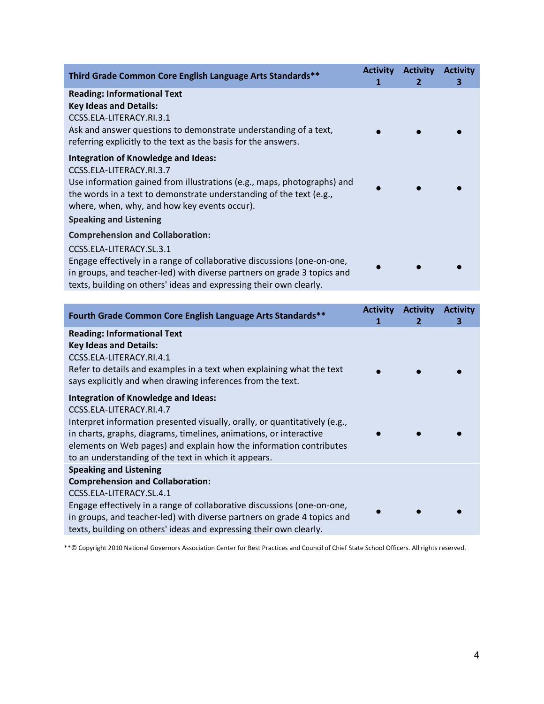| Third Grade Common Core English Language Arts Standards**                                                                                                                                                                                                                                                 | <b>Activity</b> | <b>Activity</b><br>2 | <b>Activity</b><br>з |
|-----------------------------------------------------------------------------------------------------------------------------------------------------------------------------------------------------------------------------------------------------------------------------------------------------------|-----------------|----------------------|----------------------|
| <b>Reading: Informational Text</b><br><b>Key Ideas and Details:</b><br>CCSS.ELA-LITERACY.RI.3.1<br>Ask and answer questions to demonstrate understanding of a text,<br>referring explicitly to the text as the basis for the answers.                                                                     |                 |                      |                      |
| <b>Integration of Knowledge and Ideas:</b><br>CCSS.ELA-LITERACY.RI.3.7<br>Use information gained from illustrations (e.g., maps, photographs) and<br>the words in a text to demonstrate understanding of the text (e.g.,<br>where, when, why, and how key events occur).<br><b>Speaking and Listening</b> |                 |                      |                      |
| <b>Comprehension and Collaboration:</b><br>CCSS.ELA-LITERACY.SL.3.1<br>Engage effectively in a range of collaborative discussions (one-on-one,<br>in groups, and teacher-led) with diverse partners on grade 3 topics and<br>texts, building on others' ideas and expressing their own clearly.           |                 |                      |                      |

| Fourth Grade Common Core English Language Arts Standards**                                                                                                                                                                                                                                                                                                                                | <b>Activity</b><br>1 | <b>Activity</b><br>$\mathbf{2}$ | <b>Activity</b><br>з |
|-------------------------------------------------------------------------------------------------------------------------------------------------------------------------------------------------------------------------------------------------------------------------------------------------------------------------------------------------------------------------------------------|----------------------|---------------------------------|----------------------|
| <b>Reading: Informational Text</b><br><b>Key Ideas and Details:</b><br>CCSS.ELA-LITERACY.RI.4.1<br>Refer to details and examples in a text when explaining what the text<br>says explicitly and when drawing inferences from the text.                                                                                                                                                    |                      |                                 |                      |
| <b>Integration of Knowledge and Ideas:</b><br>CCSS.ELA-LITERACY.RI.4.7<br>Interpret information presented visually, orally, or quantitatively (e.g.,<br>in charts, graphs, diagrams, timelines, animations, or interactive<br>elements on Web pages) and explain how the information contributes<br>to an understanding of the text in which it appears.<br><b>Speaking and Listening</b> |                      |                                 |                      |
| <b>Comprehension and Collaboration:</b><br>CCSS.ELA-LITERACY.SL.4.1<br>Engage effectively in a range of collaborative discussions (one-on-one,<br>in groups, and teacher-led) with diverse partners on grade 4 topics and<br>texts, building on others' ideas and expressing their own clearly.                                                                                           |                      |                                 |                      |

\*\*© Copyright 2010 National Governors Association Center for Best Practices and Council of Chief State School Officers. All rights reserved.